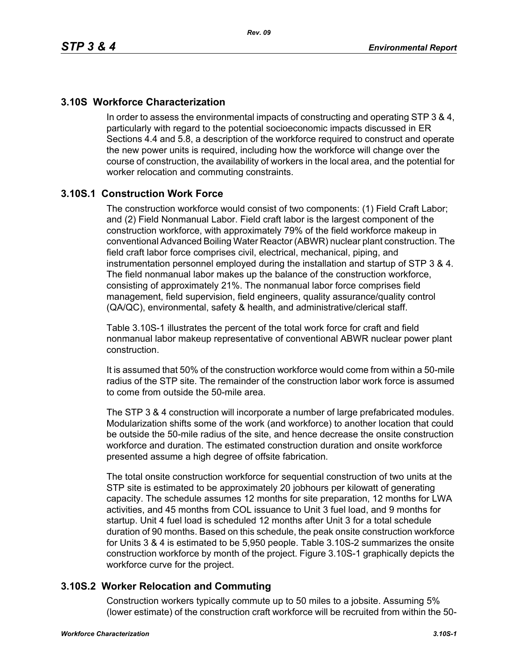# **3.10S Workforce Characterization**

In order to assess the environmental impacts of constructing and operating STP 3 & 4, particularly with regard to the potential socioeconomic impacts discussed in ER Sections 4.4 and 5.8, a description of the workforce required to construct and operate the new power units is required, including how the workforce will change over the course of construction, the availability of workers in the local area, and the potential for worker relocation and commuting constraints.

# **3.10S.1 Construction Work Force**

The construction workforce would consist of two components: (1) Field Craft Labor; and (2) Field Nonmanual Labor. Field craft labor is the largest component of the construction workforce, with approximately 79% of the field workforce makeup in conventional Advanced Boiling Water Reactor (ABWR) nuclear plant construction. The field craft labor force comprises civil, electrical, mechanical, piping, and instrumentation personnel employed during the installation and startup of STP 3 & 4. The field nonmanual labor makes up the balance of the construction workforce, consisting of approximately 21%. The nonmanual labor force comprises field management, field supervision, field engineers, quality assurance/quality control (QA/QC), environmental, safety & health, and administrative/clerical staff.

Table 3.10S-1 illustrates the percent of the total work force for craft and field nonmanual labor makeup representative of conventional ABWR nuclear power plant construction.

It is assumed that 50% of the construction workforce would come from within a 50-mile radius of the STP site. The remainder of the construction labor work force is assumed to come from outside the 50-mile area.

The STP 3 & 4 construction will incorporate a number of large prefabricated modules. Modularization shifts some of the work (and workforce) to another location that could be outside the 50-mile radius of the site, and hence decrease the onsite construction workforce and duration. The estimated construction duration and onsite workforce presented assume a high degree of offsite fabrication.

The total onsite construction workforce for sequential construction of two units at the STP site is estimated to be approximately 20 jobhours per kilowatt of generating capacity. The schedule assumes 12 months for site preparation, 12 months for LWA activities, and 45 months from COL issuance to Unit 3 fuel load, and 9 months for startup. Unit 4 fuel load is scheduled 12 months after Unit 3 for a total schedule duration of 90 months. Based on this schedule, the peak onsite construction workforce for Units 3 & 4 is estimated to be 5,950 people. Table 3.10S-2 summarizes the onsite construction workforce by month of the project. Figure 3.10S-1 graphically depicts the workforce curve for the project.

## **3.10S.2 Worker Relocation and Commuting**

Construction workers typically commute up to 50 miles to a jobsite. Assuming 5% (lower estimate) of the construction craft workforce will be recruited from within the 50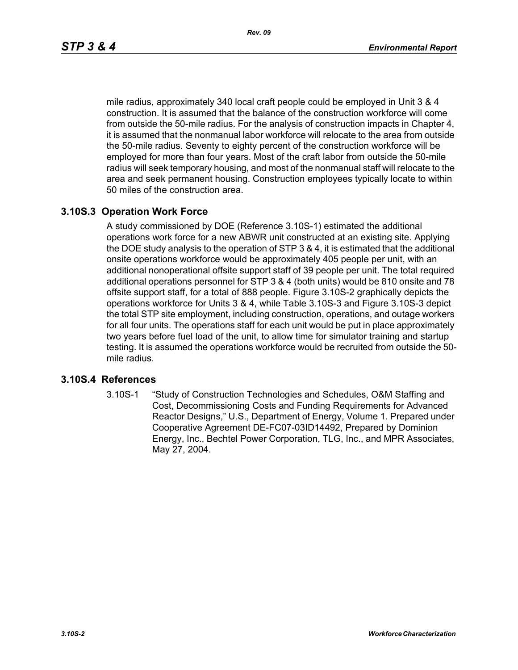mile radius, approximately 340 local craft people could be employed in Unit 3 & 4 construction. It is assumed that the balance of the construction workforce will come from outside the 50-mile radius. For the analysis of construction impacts in Chapter 4, it is assumed that the nonmanual labor workforce will relocate to the area from outside the 50-mile radius. Seventy to eighty percent of the construction workforce will be employed for more than four years. Most of the craft labor from outside the 50-mile radius will seek temporary housing, and most of the nonmanual staff will relocate to the area and seek permanent housing. Construction employees typically locate to within 50 miles of the construction area.

## **3.10S.3 Operation Work Force**

A study commissioned by DOE (Reference 3.10S-1) estimated the additional operations work force for a new ABWR unit constructed at an existing site. Applying the DOE study analysis to the operation of STP 3 & 4, it is estimated that the additional onsite operations workforce would be approximately 405 people per unit, with an additional nonoperational offsite support staff of 39 people per unit. The total required additional operations personnel for STP 3 & 4 (both units) would be 810 onsite and 78 offsite support staff, for a total of 888 people. Figure 3.10S-2 graphically depicts the operations workforce for Units 3 & 4, while Table 3.10S-3 and Figure 3.10S-3 depict the total STP site employment, including construction, operations, and outage workers for all four units. The operations staff for each unit would be put in place approximately two years before fuel load of the unit, to allow time for simulator training and startup testing. It is assumed the operations workforce would be recruited from outside the 50 mile radius.

#### **3.10S.4 References**

3.10S-1 "Study of Construction Technologies and Schedules, O&M Staffing and Cost, Decommissioning Costs and Funding Requirements for Advanced Reactor Designs," U.S., Department of Energy, Volume 1. Prepared under Cooperative Agreement DE-FC07-03ID14492, Prepared by Dominion Energy, Inc., Bechtel Power Corporation, TLG, Inc., and MPR Associates, May 27, 2004.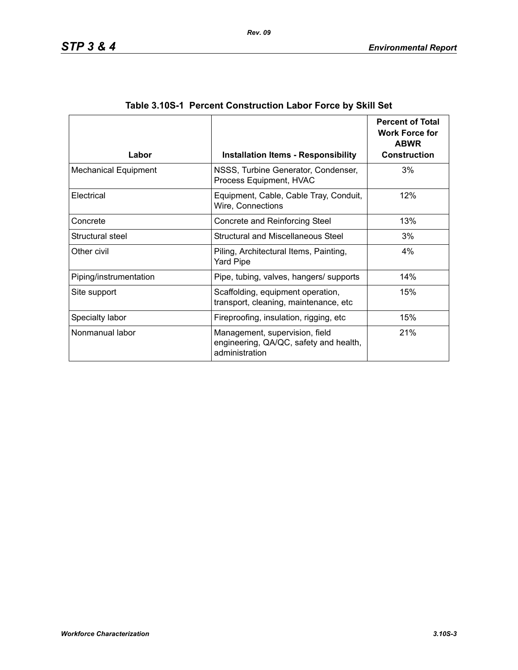| Labor                       | <b>Installation Items - Responsibility</b>                                                 | <b>Percent of Total</b><br><b>Work Force for</b><br><b>ABWR</b><br><b>Construction</b> |
|-----------------------------|--------------------------------------------------------------------------------------------|----------------------------------------------------------------------------------------|
| <b>Mechanical Equipment</b> | NSSS, Turbine Generator, Condenser,<br>Process Equipment, HVAC                             | 3%                                                                                     |
| Electrical                  | Equipment, Cable, Cable Tray, Conduit,<br>Wire, Connections                                | 12%                                                                                    |
| Concrete                    | Concrete and Reinforcing Steel                                                             | 13%                                                                                    |
| Structural steel            | Structural and Miscellaneous Steel                                                         | 3%                                                                                     |
| Other civil                 | Piling, Architectural Items, Painting,<br><b>Yard Pipe</b>                                 | 4%                                                                                     |
| Piping/instrumentation      | Pipe, tubing, valves, hangers/ supports                                                    | 14%                                                                                    |
| Site support                | Scaffolding, equipment operation,<br>transport, cleaning, maintenance, etc                 | 15%                                                                                    |
| Specialty labor             | Fireproofing, insulation, rigging, etc.                                                    | 15%                                                                                    |
| Nonmanual labor             | Management, supervision, field<br>engineering, QA/QC, safety and health,<br>administration | 21%                                                                                    |

| Table 3.10S-1 Percent Construction Labor Force by Skill Set |  |  |  |  |
|-------------------------------------------------------------|--|--|--|--|
|                                                             |  |  |  |  |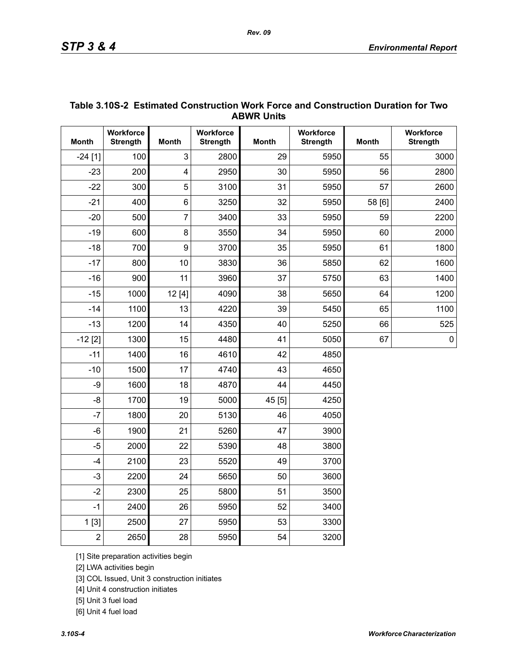|                | <b>ABWR UNITS</b>            |                         |                              |              |                              |              |                              |  |  |
|----------------|------------------------------|-------------------------|------------------------------|--------------|------------------------------|--------------|------------------------------|--|--|
| <b>Month</b>   | Workforce<br><b>Strength</b> | <b>Month</b>            | Workforce<br><b>Strength</b> | <b>Month</b> | Workforce<br><b>Strength</b> | <b>Month</b> | Workforce<br><b>Strength</b> |  |  |
| $-24$ [1]      | 100                          | 3                       | 2800                         | 29           | 5950                         | 55           | 3000                         |  |  |
| $-23$          | 200                          | $\overline{\mathbf{4}}$ | 2950                         | 30           | 5950                         | 56           | 2800                         |  |  |
| $-22$          | 300                          | 5                       | 3100                         | 31           | 5950                         | 57           | 2600                         |  |  |
| $-21$          | 400                          | $6\phantom{1}$          | 3250                         | 32           | 5950                         | 58 [6]       | 2400                         |  |  |
| $-20$          | 500                          | $\overline{7}$          | 3400                         | 33           | 5950                         | 59           | 2200                         |  |  |
| $-19$          | 600                          | 8                       | 3550                         | 34           | 5950                         | 60           | 2000                         |  |  |
| $-18$          | 700                          | 9                       | 3700                         | 35           | 5950                         | 61           | 1800                         |  |  |
| $-17$          | 800                          | 10                      | 3830                         | 36           | 5850                         | 62           | 1600                         |  |  |
| $-16$          | 900                          | 11                      | 3960                         | 37           | 5750                         | 63           | 1400                         |  |  |
| $-15$          | 1000                         | 12[4]                   | 4090                         | 38           | 5650                         | 64           | 1200                         |  |  |
| $-14$          | 1100                         | 13                      | 4220                         | 39           | 5450                         | 65           | 1100                         |  |  |
| $-13$          | 1200                         | 14                      | 4350                         | 40           | 5250                         | 66           | 525                          |  |  |
| $-12$ [2]      | 1300                         | 15                      | 4480                         | 41           | 5050                         | 67           | $\pmb{0}$                    |  |  |
| $-11$          | 1400                         | 16                      | 4610                         | 42           | 4850                         |              |                              |  |  |
| $-10$          | 1500                         | 17                      | 4740                         | 43           | 4650                         |              |                              |  |  |
| -9             | 1600                         | 18                      | 4870                         | 44           | 4450                         |              |                              |  |  |
| $-8$           | 1700                         | 19                      | 5000                         | 45 [5]       | 4250                         |              |                              |  |  |
| $-7$           | 1800                         | 20                      | 5130                         | 46           | 4050                         |              |                              |  |  |
| $-6$           | 1900                         | 21                      | 5260                         | 47           | 3900                         |              |                              |  |  |
| $-5$           | 2000                         | 22                      | 5390                         | 48           | 3800                         |              |                              |  |  |
| $-4$           | 2100                         | 23                      | 5520                         | 49           | 3700                         |              |                              |  |  |
| $-3$           | 2200                         | 24                      | 5650                         | 50           | 3600                         |              |                              |  |  |
| $-2$           | 2300                         | 25                      | 5800                         | 51           | 3500                         |              |                              |  |  |
| $-1$           | 2400                         | 26                      | 5950                         | 52           | 3400                         |              |                              |  |  |
| 1[3]           | 2500                         | 27                      | 5950                         | 53           | 3300                         |              |                              |  |  |
| $\overline{2}$ | 2650                         | 28                      | 5950                         | 54           | 3200                         |              |                              |  |  |

## **Table 3.10S-2 Estimated Construction Work Force and Construction Duration for Two ABWR Units**

[1] Site preparation activities begin

[2] LWA activities begin

[3] COL Issued, Unit 3 construction initiates

[4] Unit 4 construction initiates

[5] Unit 3 fuel load

[6] Unit 4 fuel load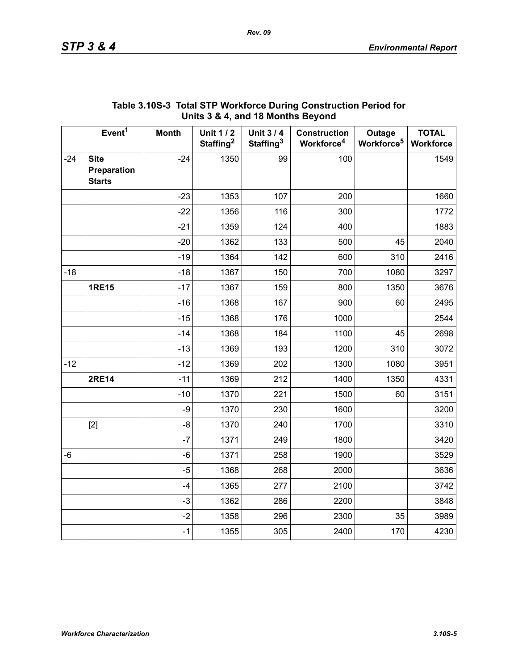|       | . .,                                        |              |                                          |                                          |                                               |                                  |                                  |  |
|-------|---------------------------------------------|--------------|------------------------------------------|------------------------------------------|-----------------------------------------------|----------------------------------|----------------------------------|--|
|       | Event <sup>1</sup>                          | <b>Month</b> | <b>Unit 1/2</b><br>Staffing <sup>2</sup> | <b>Unit 3/4</b><br>Staffing <sup>3</sup> | <b>Construction</b><br>Workforce <sup>4</sup> | Outage<br>Workforce <sup>5</sup> | <b>TOTAL</b><br><b>Workforce</b> |  |
| $-24$ | <b>Site</b><br>Preparation<br><b>Starts</b> | $-24$        | 1350                                     | 99                                       | 100                                           |                                  | 1549                             |  |
|       |                                             | $-23$        | 1353                                     | 107                                      | 200                                           |                                  | 1660                             |  |
|       |                                             | $-22$        | 1356                                     | 116                                      | 300                                           |                                  | 1772                             |  |
|       |                                             | $-21$        | 1359                                     | 124                                      | 400                                           |                                  | 1883                             |  |
|       |                                             | $-20$        | 1362                                     | 133                                      | 500                                           | 45                               | 2040                             |  |
|       |                                             | $-19$        | 1364                                     | 142                                      | 600                                           | 310                              | 2416                             |  |
| $-18$ |                                             | $-18$        | 1367                                     | 150                                      | 700                                           | 1080                             | 3297                             |  |
|       | <b>1RE15</b>                                | $-17$        | 1367                                     | 159                                      | 800                                           | 1350                             | 3676                             |  |
|       |                                             | $-16$        | 1368                                     | 167                                      | 900                                           | 60                               | 2495                             |  |
|       |                                             | $-15$        | 1368                                     | 176                                      | 1000                                          |                                  | 2544                             |  |
|       |                                             | $-14$        | 1368                                     | 184                                      | 1100                                          | 45                               | 2698                             |  |
|       |                                             | $-13$        | 1369                                     | 193                                      | 1200                                          | 310                              | 3072                             |  |
| $-12$ |                                             | $-12$        | 1369                                     | 202                                      | 1300                                          | 1080                             | 3951                             |  |
|       | <b>2RE14</b>                                | $-11$        | 1369                                     | 212                                      | 1400                                          | 1350                             | 4331                             |  |
|       |                                             | $-10$        | 1370                                     | 221                                      | 1500                                          | 60                               | 3151                             |  |
|       |                                             | $-9$         | 1370                                     | 230                                      | 1600                                          |                                  | 3200                             |  |
|       | $[2]$                                       | -8           | 1370                                     | 240                                      | 1700                                          |                                  | 3310                             |  |
|       |                                             | $-7$         | 1371                                     | 249                                      | 1800                                          |                                  | 3420                             |  |
| -6    |                                             | -6           | 1371                                     | 258                                      | 1900                                          |                                  | 3529                             |  |
|       |                                             | $-5$         | 1368                                     | 268                                      | 2000                                          |                                  | 3636                             |  |
|       |                                             | $-4$         | 1365                                     | 277                                      | 2100                                          |                                  | 3742                             |  |
|       |                                             | $-3$         | 1362                                     | 286                                      | 2200                                          |                                  | 3848                             |  |
|       |                                             | $-2$         | 1358                                     | 296                                      | 2300                                          | 35                               | 3989                             |  |
|       |                                             | $-1$         | 1355                                     | 305                                      | 2400                                          | 170                              | 4230                             |  |

## **Table 3.10S-3 Total STP Workforce During Construction Period for Units 3 & 4, and 18 Months Beyond**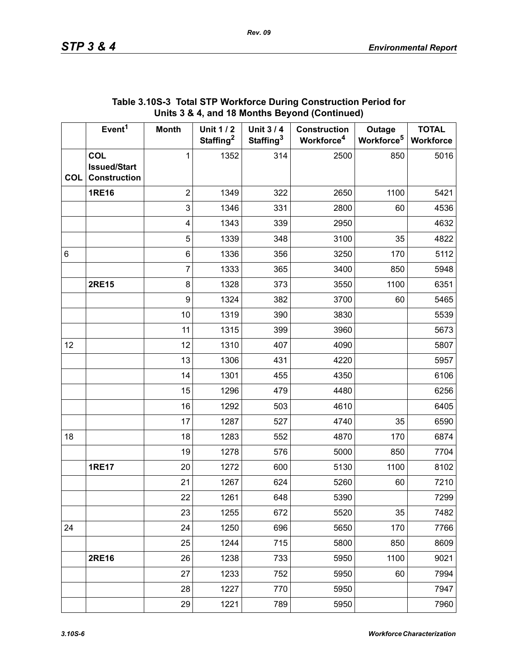|            | Event <sup>1</sup>                                       | <b>Month</b>     | <b>Unit 1/2</b><br>Staffing <sup>2</sup> | <b>Unit 3/4</b><br>Staffing <sup>3</sup> | <b>Construction</b><br>Workforce <sup>4</sup> | Outage<br>Workforce <sup>5</sup> | <b>TOTAL</b><br>Workforce |
|------------|----------------------------------------------------------|------------------|------------------------------------------|------------------------------------------|-----------------------------------------------|----------------------------------|---------------------------|
| <b>COL</b> | <b>COL</b><br><b>Issued/Start</b><br><b>Construction</b> | 1                | 1352                                     | 314                                      | 2500                                          | 850                              | 5016                      |
|            | <b>1RE16</b>                                             | $\overline{2}$   | 1349                                     | 322                                      | 2650                                          | 1100                             | 5421                      |
|            |                                                          | 3                | 1346                                     | 331                                      | 2800                                          | 60                               | 4536                      |
|            |                                                          | 4                | 1343                                     | 339                                      | 2950                                          |                                  | 4632                      |
|            |                                                          | 5                | 1339                                     | 348                                      | 3100                                          | 35                               | 4822                      |
| 6          |                                                          | 6                | 1336                                     | 356                                      | 3250                                          | 170                              | 5112                      |
|            |                                                          | $\overline{7}$   | 1333                                     | 365                                      | 3400                                          | 850                              | 5948                      |
|            | <b>2RE15</b>                                             | $\bf 8$          | 1328                                     | 373                                      | 3550                                          | 1100                             | 6351                      |
|            |                                                          | $\boldsymbol{9}$ | 1324                                     | 382                                      | 3700                                          | 60                               | 5465                      |
|            |                                                          | 10               | 1319                                     | 390                                      | 3830                                          |                                  | 5539                      |
|            |                                                          | 11               | 1315                                     | 399                                      | 3960                                          |                                  | 5673                      |
| 12         |                                                          | 12               | 1310                                     | 407                                      | 4090                                          |                                  | 5807                      |
|            |                                                          | 13               | 1306                                     | 431                                      | 4220                                          |                                  | 5957                      |
|            |                                                          | 14               | 1301                                     | 455                                      | 4350                                          |                                  | 6106                      |
|            |                                                          | 15               | 1296                                     | 479                                      | 4480                                          |                                  | 6256                      |
|            |                                                          | 16               | 1292                                     | 503                                      | 4610                                          |                                  | 6405                      |
|            |                                                          | 17               | 1287                                     | 527                                      | 4740                                          | 35                               | 6590                      |
| 18         |                                                          | 18               | 1283                                     | 552                                      | 4870                                          | 170                              | 6874                      |
|            |                                                          | 19               | 1278                                     | 576                                      | 5000                                          | 850                              | 7704                      |
|            | <b>1RE17</b>                                             | 20               | 1272                                     | 600                                      | 5130                                          | 1100                             | 8102                      |
|            |                                                          | 21               | 1267                                     | 624                                      | 5260                                          | 60                               | 7210                      |
|            |                                                          | 22               | 1261                                     | 648                                      | 5390                                          |                                  | 7299                      |
|            |                                                          | 23               | 1255                                     | 672                                      | 5520                                          | 35                               | 7482                      |
| 24         |                                                          | 24               | 1250                                     | 696                                      | 5650                                          | 170                              | 7766                      |
|            |                                                          | 25               | 1244                                     | 715                                      | 5800                                          | 850                              | 8609                      |
|            | <b>2RE16</b>                                             | 26               | 1238                                     | 733                                      | 5950                                          | 1100                             | 9021                      |
|            |                                                          | 27               | 1233                                     | 752                                      | 5950                                          | 60                               | 7994                      |
|            |                                                          | 28               | 1227                                     | 770                                      | 5950                                          |                                  | 7947                      |
|            |                                                          | 29               | 1221                                     | 789                                      | 5950                                          |                                  | 7960                      |

## **Table 3.10S-3 Total STP Workforce During Construction Period for Units 3 & 4, and 18 Months Beyond (Continued)**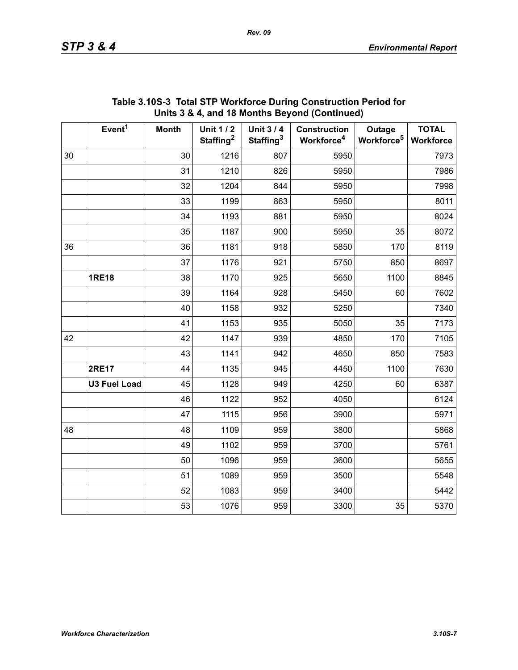|    | Event <sup>1</sup>  | <b>Month</b> | <b>Unit 1/2</b><br>Staffing <sup>2</sup> | <b>Unit 3/4</b><br>Staffing <sup>3</sup> | <b>Construction</b><br>Workforce <sup>4</sup> | Outage<br>Workforce <sup>5</sup> | <b>TOTAL</b><br>Workforce |
|----|---------------------|--------------|------------------------------------------|------------------------------------------|-----------------------------------------------|----------------------------------|---------------------------|
| 30 |                     | 30           | 1216                                     | 807                                      | 5950                                          |                                  | 7973                      |
|    |                     | 31           | 1210                                     | 826                                      | 5950                                          |                                  | 7986                      |
|    |                     | 32           | 1204                                     | 844                                      | 5950                                          |                                  | 7998                      |
|    |                     | 33           | 1199                                     | 863                                      | 5950                                          |                                  | 8011                      |
|    |                     | 34           | 1193                                     | 881                                      | 5950                                          |                                  | 8024                      |
|    |                     | 35           | 1187                                     | 900                                      | 5950                                          | 35                               | 8072                      |
| 36 |                     | 36           | 1181                                     | 918                                      | 5850                                          | 170                              | 8119                      |
|    |                     | 37           | 1176                                     | 921                                      | 5750                                          | 850                              | 8697                      |
|    | <b>1RE18</b>        | 38           | 1170                                     | 925                                      | 5650                                          | 1100                             | 8845                      |
|    |                     | 39           | 1164                                     | 928                                      | 5450                                          | 60                               | 7602                      |
|    |                     | 40           | 1158                                     | 932                                      | 5250                                          |                                  | 7340                      |
|    |                     | 41           | 1153                                     | 935                                      | 5050                                          | 35                               | 7173                      |
| 42 |                     | 42           | 1147                                     | 939                                      | 4850                                          | 170                              | 7105                      |
|    |                     | 43           | 1141                                     | 942                                      | 4650                                          | 850                              | 7583                      |
|    | <b>2RE17</b>        | 44           | 1135                                     | 945                                      | 4450                                          | 1100                             | 7630                      |
|    | <b>U3 Fuel Load</b> | 45           | 1128                                     | 949                                      | 4250                                          | 60                               | 6387                      |
|    |                     | 46           | 1122                                     | 952                                      | 4050                                          |                                  | 6124                      |
|    |                     | 47           | 1115                                     | 956                                      | 3900                                          |                                  | 5971                      |
| 48 |                     | 48           | 1109                                     | 959                                      | 3800                                          |                                  | 5868                      |
|    |                     | 49           | 1102                                     | 959                                      | 3700                                          |                                  | 5761                      |
|    |                     | 50           | 1096                                     | 959                                      | 3600                                          |                                  | 5655                      |
|    |                     | 51           | 1089                                     | 959                                      | 3500                                          |                                  | 5548                      |
|    |                     | 52           | 1083                                     | 959                                      | 3400                                          |                                  | 5442                      |
|    |                     | 53           | 1076                                     | 959                                      | 3300                                          | 35                               | 5370                      |

## **Table 3.10S-3 Total STP Workforce During Construction Period for Units 3 & 4, and 18 Months Beyond (Continued)**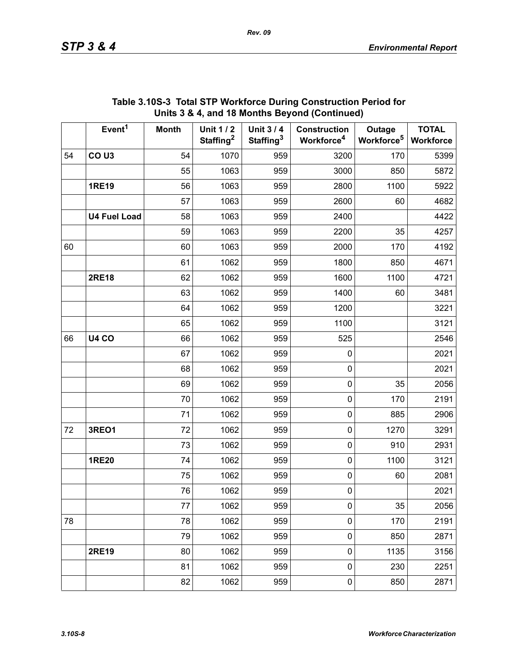|    | Event <sup>1</sup>  | <b>Month</b> | <b>Unit 1/2</b><br>Staffing <sup>2</sup> | <b>Unit 3/4</b><br>Staffing <sup>3</sup> | <b>Construction</b><br>Workforce <sup>4</sup> | Outage<br>Workforce <sup>5</sup> | <b>TOTAL</b><br>Workforce |
|----|---------------------|--------------|------------------------------------------|------------------------------------------|-----------------------------------------------|----------------------------------|---------------------------|
| 54 | CO <sub>U3</sub>    | 54           | 1070                                     | 959                                      | 3200                                          | 170                              | 5399                      |
|    |                     | 55           | 1063                                     | 959                                      | 3000                                          | 850                              | 5872                      |
|    | <b>1RE19</b>        | 56           | 1063                                     | 959                                      | 2800                                          | 1100                             | 5922                      |
|    |                     | 57           | 1063                                     | 959                                      | 2600                                          | 60                               | 4682                      |
|    | <b>U4 Fuel Load</b> | 58           | 1063                                     | 959                                      | 2400                                          |                                  | 4422                      |
|    |                     | 59           | 1063                                     | 959                                      | 2200                                          | 35                               | 4257                      |
| 60 |                     | 60           | 1063                                     | 959                                      | 2000                                          | 170                              | 4192                      |
|    |                     | 61           | 1062                                     | 959                                      | 1800                                          | 850                              | 4671                      |
|    | <b>2RE18</b>        | 62           | 1062                                     | 959                                      | 1600                                          | 1100                             | 4721                      |
|    |                     | 63           | 1062                                     | 959                                      | 1400                                          | 60                               | 3481                      |
|    |                     | 64           | 1062                                     | 959                                      | 1200                                          |                                  | 3221                      |
|    |                     | 65           | 1062                                     | 959                                      | 1100                                          |                                  | 3121                      |
| 66 | <b>U4 CO</b>        | 66           | 1062                                     | 959                                      | 525                                           |                                  | 2546                      |
|    |                     | 67           | 1062                                     | 959                                      | $\pmb{0}$                                     |                                  | 2021                      |
|    |                     | 68           | 1062                                     | 959                                      | $\pmb{0}$                                     |                                  | 2021                      |
|    |                     | 69           | 1062                                     | 959                                      | $\pmb{0}$                                     | 35                               | 2056                      |
|    |                     | 70           | 1062                                     | 959                                      | $\pmb{0}$                                     | 170                              | 2191                      |
|    |                     | 71           | 1062                                     | 959                                      | $\pmb{0}$                                     | 885                              | 2906                      |
| 72 | 3REO1               | 72           | 1062                                     | 959                                      | $\pmb{0}$                                     | 1270                             | 3291                      |
|    |                     | 73           | 1062                                     | 959                                      | $\pmb{0}$                                     | 910                              | 2931                      |
|    | <b>1RE20</b>        | 74           | 1062                                     | 959                                      | $\pmb{0}$                                     | 1100                             | 3121                      |
|    |                     | 75           | 1062                                     | 959                                      | $\pmb{0}$                                     | 60                               | 2081                      |
|    |                     | 76           | 1062                                     | 959                                      | $\pmb{0}$                                     |                                  | 2021                      |
|    |                     | 77           | 1062                                     | 959                                      | $\pmb{0}$                                     | 35                               | 2056                      |
| 78 |                     | 78           | 1062                                     | 959                                      | $\pmb{0}$                                     | 170                              | 2191                      |
|    |                     | 79           | 1062                                     | 959                                      | $\pmb{0}$                                     | 850                              | 2871                      |
|    | <b>2RE19</b>        | 80           | 1062                                     | 959                                      | $\mathsf 0$                                   | 1135                             | 3156                      |
|    |                     | 81           | 1062                                     | 959                                      | $\pmb{0}$                                     | 230                              | 2251                      |
|    |                     | 82           | 1062                                     | 959                                      | $\pmb{0}$                                     | 850                              | 2871                      |

### **Table 3.10S-3 Total STP Workforce During Construction Period for Units 3 & 4, and 18 Months Beyond (Continued)**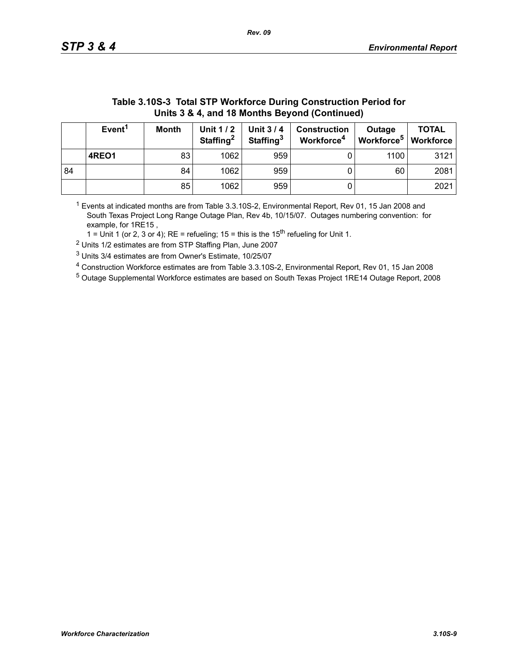|    | Units 3 & 4, and 18 Months Beyond (Continued)                                                                                                                                                                                                  |    |      |     |   |      |      |  |  |
|----|------------------------------------------------------------------------------------------------------------------------------------------------------------------------------------------------------------------------------------------------|----|------|-----|---|------|------|--|--|
|    | Event <sup>1</sup><br><b>Month</b><br>Unit $1/2$<br><b>TOTAL</b><br><b>Unit 3/4</b><br><b>Construction</b><br>Outage<br>Workforce <sup>5</sup><br>Staffing <sup>2</sup><br>Staffing <sup>3</sup><br>Workforce <sup>4</sup><br><b>Workforce</b> |    |      |     |   |      |      |  |  |
|    | 4REO1                                                                                                                                                                                                                                          | 83 | 1062 | 959 |   | 1100 | 3121 |  |  |
| 84 |                                                                                                                                                                                                                                                | 84 | 1062 | 959 |   | 60   | 2081 |  |  |
|    |                                                                                                                                                                                                                                                | 85 | 1062 | 959 | υ |      | 2021 |  |  |

# **Table 3.10S-3 Total STP Workforce During Construction Period for**

 $1$  Events at indicated months are from Table 3.3.10S-2, Environmental Report, Rev 01, 15 Jan 2008 and South Texas Project Long Range Outage Plan, Rev 4b, 10/15/07. Outages numbering convention: for example, for 1RE15 ,

1 = Unit 1 (or 2, 3 or 4); RE = refueling; 15 = this is the  $15<sup>th</sup>$  refueling for Unit 1.

2 Units 1/2 estimates are from STP Staffing Plan, June 2007

3 Units 3/4 estimates are from Owner's Estimate, 10/25/07

4 Construction Workforce estimates are from Table 3.3.10S-2, Environmental Report, Rev 01, 15 Jan 2008

5 Outage Supplemental Workforce estimates are based on South Texas Project 1RE14 Outage Report, 2008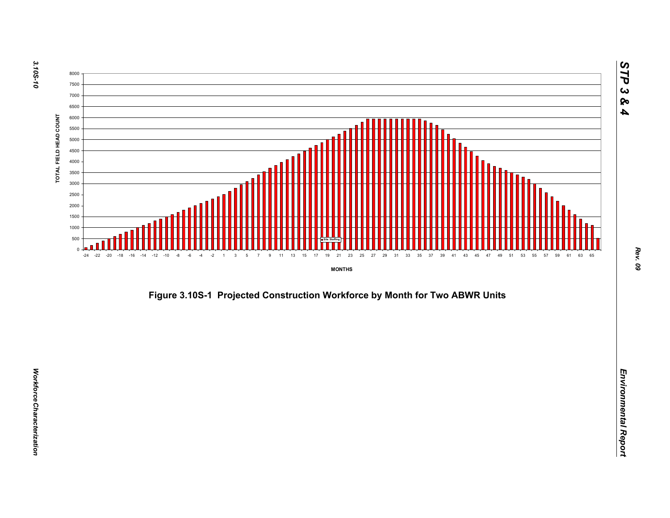



*STP 3 & 4*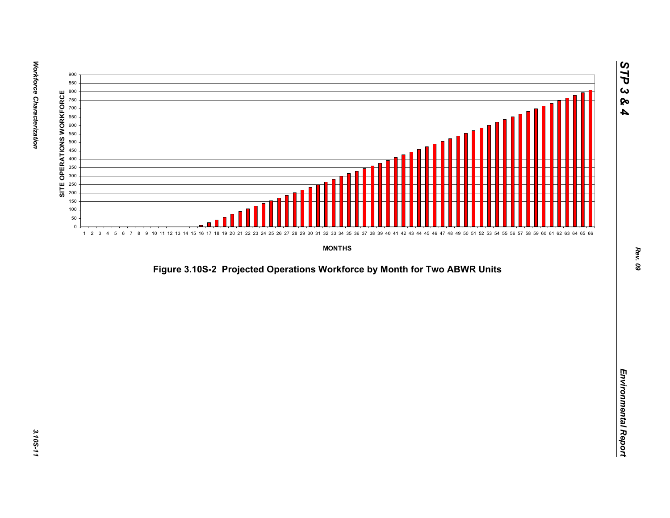

*Figure 3.10S-2 Projected Operations Workforce by Month for Two ABWR Units*<br>*Environmental Report*<br>Projected Operations Workforce by Month for Two ABWR Units<br>Projected Operations Workforce by Month for Two ABWR Units<br>Proje

*STP 3 & 4*